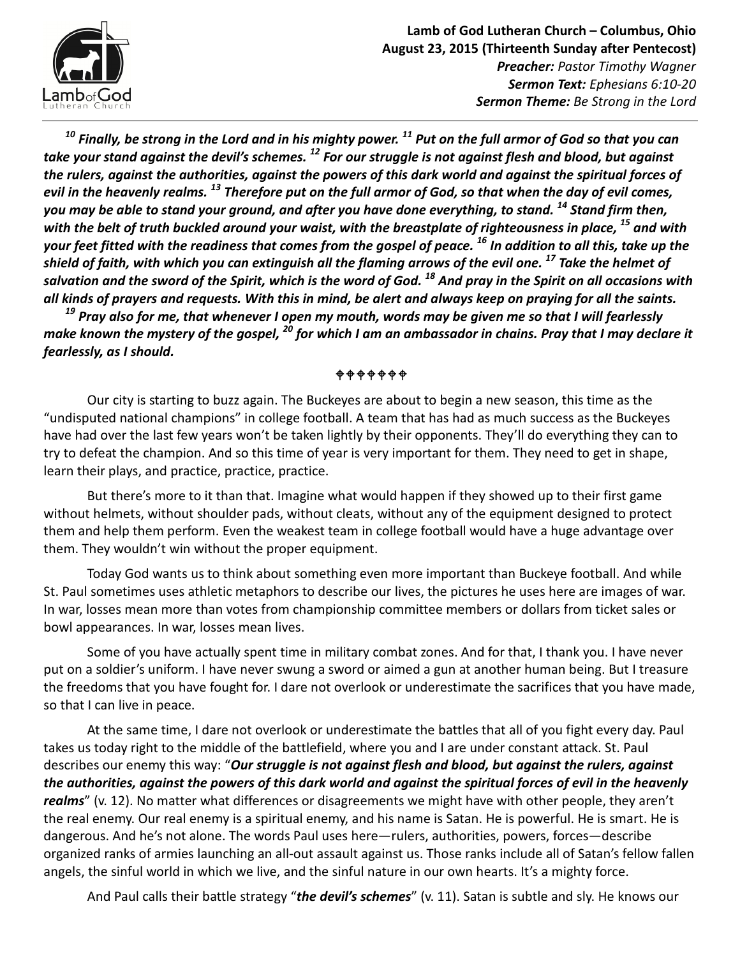

 $10$  Finally, be strong in the Lord and in his mighty power.  $^{11}$  Put on the full armor of God so that you can take your stand against the devil's schemes. <sup>12</sup> For our struggle is not against flesh and blood, but against the rulers, against the authorities, against the powers of this dark world and against the spiritual forces of evil in the heavenly realms. <sup>13</sup> Therefore put on the full armor of God, so that when the day of evil comes, you may be able to stand your ground, and after you have done everything, to stand. <sup>14</sup> Stand firm then, with the belt of truth buckled around your waist, with the breastplate of righteousness in place,  $^{15}$  and with your feet fitted with the readiness that comes from the gospel of peace. <sup>16</sup> In addition to all this, take up the shield of faith, with which you can extinguish all the flaming arrows of the evil one.  $^{17}$  Take the helmet of salvation and the sword of the Spirit, which is the word of God. <sup>18</sup> And pray in the Spirit on all occasions with all kinds of prayers and requests. With this in mind, be alert and always keep on praying for all the saints.

 $^{19}$  Pray also for me, that whenever I open my mouth, words may be given me so that I will fearlessly make known the mystery of the gospel,  $^{20}$  for which I am an ambassador in chains. Pray that I may declare it fearlessly, as I should.

**\$\$\$\$\$\$** 

Our city is starting to buzz again. The Buckeyes are about to begin a new season, this time as the "undisputed national champions" in college football. A team that has had as much success as the Buckeyes have had over the last few years won't be taken lightly by their opponents. They'll do everything they can to try to defeat the champion. And so this time of year is very important for them. They need to get in shape, learn their plays, and practice, practice, practice.

But there's more to it than that. Imagine what would happen if they showed up to their first game without helmets, without shoulder pads, without cleats, without any of the equipment designed to protect them and help them perform. Even the weakest team in college football would have a huge advantage over them. They wouldn't win without the proper equipment.

Today God wants us to think about something even more important than Buckeye football. And while St. Paul sometimes uses athletic metaphors to describe our lives, the pictures he uses here are images of war. In war, losses mean more than votes from championship committee members or dollars from ticket sales or bowl appearances. In war, losses mean lives.

Some of you have actually spent time in military combat zones. And for that, I thank you. I have never put on a soldier's uniform. I have never swung a sword or aimed a gun at another human being. But I treasure the freedoms that you have fought for. I dare not overlook or underestimate the sacrifices that you have made, so that I can live in peace.

At the same time, I dare not overlook or underestimate the battles that all of you fight every day. Paul takes us today right to the middle of the battlefield, where you and I are under constant attack. St. Paul describes our enemy this way: "Our struggle is not against flesh and blood, but against the rulers, against the authorities, against the powers of this dark world and against the spiritual forces of evil in the heavenly realms" (v. 12). No matter what differences or disagreements we might have with other people, they aren't the real enemy. Our real enemy is a spiritual enemy, and his name is Satan. He is powerful. He is smart. He is dangerous. And he's not alone. The words Paul uses here—rulers, authorities, powers, forces—describe organized ranks of armies launching an all-out assault against us. Those ranks include all of Satan's fellow fallen angels, the sinful world in which we live, and the sinful nature in our own hearts. It's a mighty force.

And Paul calls their battle strategy "the devil's schemes" (v. 11). Satan is subtle and sly. He knows our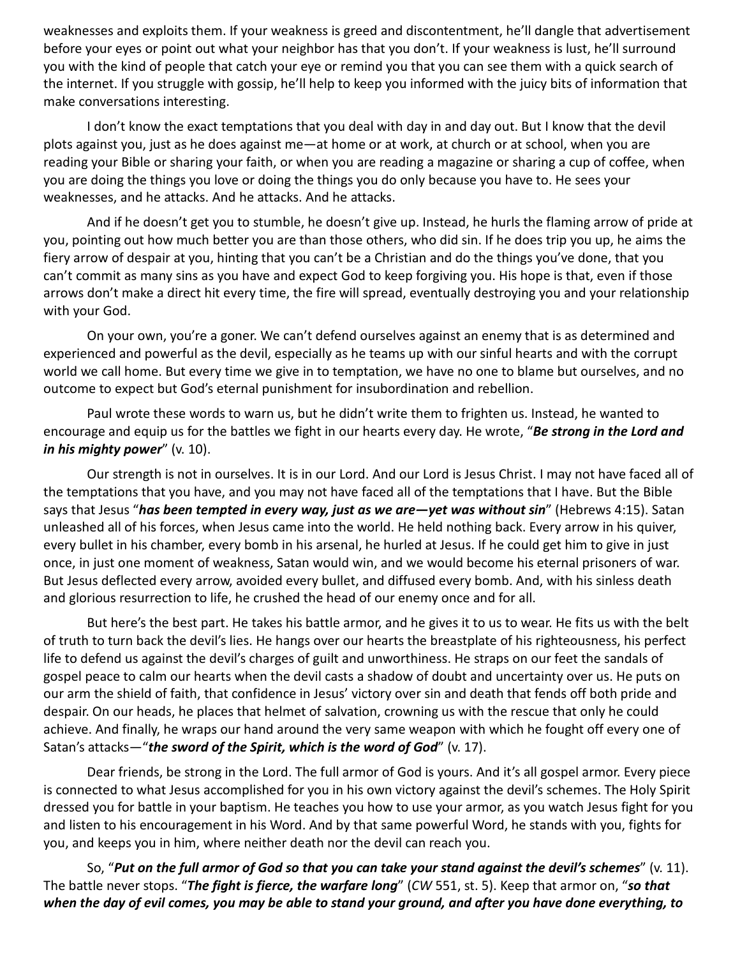weaknesses and exploits them. If your weakness is greed and discontentment, he'll dangle that advertisement before your eyes or point out what your neighbor has that you don't. If your weakness is lust, he'll surround you with the kind of people that catch your eye or remind you that you can see them with a quick search of the internet. If you struggle with gossip, he'll help to keep you informed with the juicy bits of information that make conversations interesting.

I don't know the exact temptations that you deal with day in and day out. But I know that the devil plots against you, just as he does against me—at home or at work, at church or at school, when you are reading your Bible or sharing your faith, or when you are reading a magazine or sharing a cup of coffee, when you are doing the things you love or doing the things you do only because you have to. He sees your weaknesses, and he attacks. And he attacks. And he attacks.

And if he doesn't get you to stumble, he doesn't give up. Instead, he hurls the flaming arrow of pride at you, pointing out how much better you are than those others, who did sin. If he does trip you up, he aims the fiery arrow of despair at you, hinting that you can't be a Christian and do the things you've done, that you can't commit as many sins as you have and expect God to keep forgiving you. His hope is that, even if those arrows don't make a direct hit every time, the fire will spread, eventually destroying you and your relationship with your God.

On your own, you're a goner. We can't defend ourselves against an enemy that is as determined and experienced and powerful as the devil, especially as he teams up with our sinful hearts and with the corrupt world we call home. But every time we give in to temptation, we have no one to blame but ourselves, and no outcome to expect but God's eternal punishment for insubordination and rebellion.

Paul wrote these words to warn us, but he didn't write them to frighten us. Instead, he wanted to encourage and equip us for the battles we fight in our hearts every day. He wrote, "Be strong in the Lord and in his mighty power" (v. 10).

Our strength is not in ourselves. It is in our Lord. And our Lord is Jesus Christ. I may not have faced all of the temptations that you have, and you may not have faced all of the temptations that I have. But the Bible says that Jesus "has been tempted in every way, just as we are—yet was without sin" (Hebrews 4:15). Satan unleashed all of his forces, when Jesus came into the world. He held nothing back. Every arrow in his quiver, every bullet in his chamber, every bomb in his arsenal, he hurled at Jesus. If he could get him to give in just once, in just one moment of weakness, Satan would win, and we would become his eternal prisoners of war. But Jesus deflected every arrow, avoided every bullet, and diffused every bomb. And, with his sinless death and glorious resurrection to life, he crushed the head of our enemy once and for all.

But here's the best part. He takes his battle armor, and he gives it to us to wear. He fits us with the belt of truth to turn back the devil's lies. He hangs over our hearts the breastplate of his righteousness, his perfect life to defend us against the devil's charges of guilt and unworthiness. He straps on our feet the sandals of gospel peace to calm our hearts when the devil casts a shadow of doubt and uncertainty over us. He puts on our arm the shield of faith, that confidence in Jesus' victory over sin and death that fends off both pride and despair. On our heads, he places that helmet of salvation, crowning us with the rescue that only he could achieve. And finally, he wraps our hand around the very same weapon with which he fought off every one of Satan's attacks—"the sword of the Spirit, which is the word of God" (v. 17).

Dear friends, be strong in the Lord. The full armor of God is yours. And it's all gospel armor. Every piece is connected to what Jesus accomplished for you in his own victory against the devil's schemes. The Holy Spirit dressed you for battle in your baptism. He teaches you how to use your armor, as you watch Jesus fight for you and listen to his encouragement in his Word. And by that same powerful Word, he stands with you, fights for you, and keeps you in him, where neither death nor the devil can reach you.

So, "Put on the full armor of God so that you can take your stand against the devil's schemes" ( $v. 11$ ). The battle never stops. "The fight is fierce, the warfare long" (CW 551, st. 5). Keep that armor on, "so that when the day of evil comes, you may be able to stand your ground, and after you have done everything, to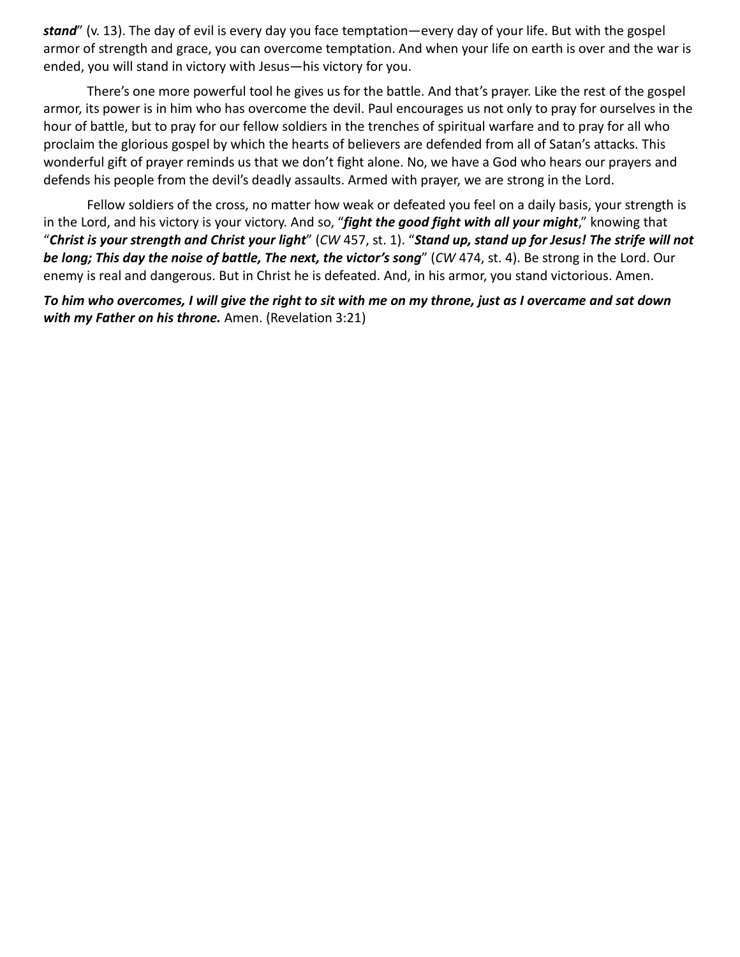stand" (v. 13). The day of evil is every day you face temptation—every day of your life. But with the gospel armor of strength and grace, you can overcome temptation. And when your life on earth is over and the war is ended, you will stand in victory with Jesus—his victory for you.

There's one more powerful tool he gives us for the battle. And that's prayer. Like the rest of the gospel armor, its power is in him who has overcome the devil. Paul encourages us not only to pray for ourselves in the hour of battle, but to pray for our fellow soldiers in the trenches of spiritual warfare and to pray for all who proclaim the glorious gospel by which the hearts of believers are defended from all of Satan's attacks. This wonderful gift of prayer reminds us that we don't fight alone. No, we have a God who hears our prayers and defends his people from the devil's deadly assaults. Armed with prayer, we are strong in the Lord.

Fellow soldiers of the cross, no matter how weak or defeated you feel on a daily basis, your strength is in the Lord, and his victory is your victory. And so, "fight the good fight with all your might," knowing that "Christ is your strength and Christ your light" (CW 457, st. 1). "Stand up, stand up for Jesus! The strife will not be long; This day the noise of battle, The next, the victor's song" (CW 474, st. 4). Be strong in the Lord. Our enemy is real and dangerous. But in Christ he is defeated. And, in his armor, you stand victorious. Amen.

To him who overcomes, I will give the right to sit with me on my throne, just as I overcame and sat down with my Father on his throne. Amen. (Revelation 3:21)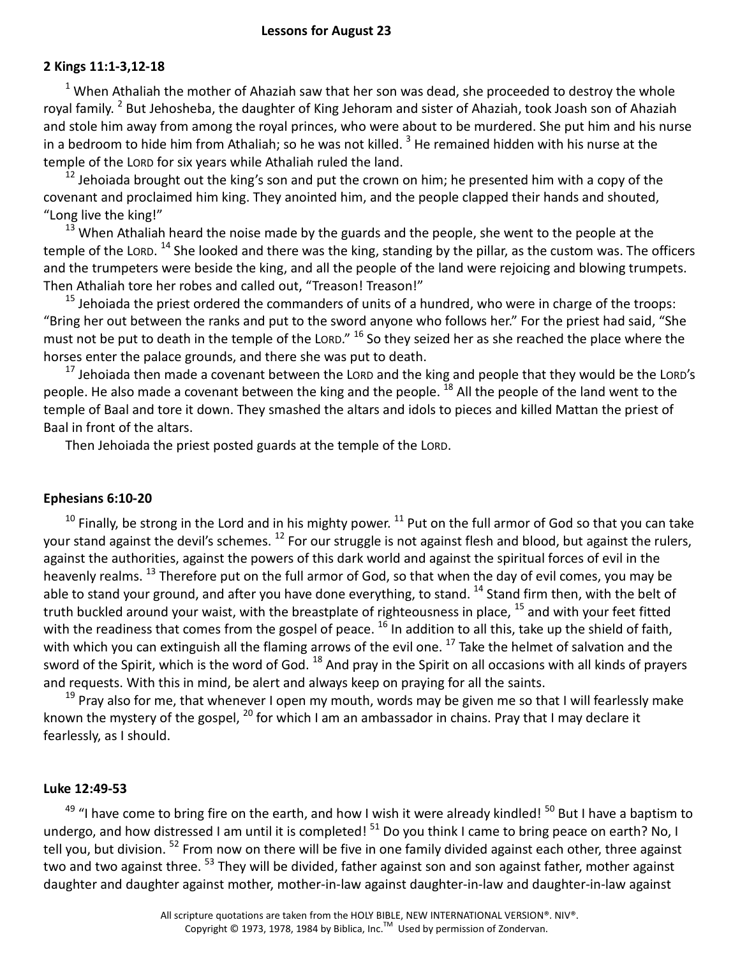## 2 Kings 11:1-3,12-18

 $<sup>1</sup>$  When Athaliah the mother of Ahaziah saw that her son was dead, she proceeded to destroy the whole</sup> royal family. <sup>2</sup> But Jehosheba, the daughter of King Jehoram and sister of Ahaziah, took Joash son of Ahaziah and stole him away from among the royal princes, who were about to be murdered. She put him and his nurse in a bedroom to hide him from Athaliah; so he was not killed.  $^3$  He remained hidden with his nurse at the temple of the LORD for six years while Athaliah ruled the land.

 $12$  Jehoiada brought out the king's son and put the crown on him; he presented him with a copy of the covenant and proclaimed him king. They anointed him, and the people clapped their hands and shouted, "Long live the king!"

 $13$  When Athaliah heard the noise made by the guards and the people, she went to the people at the temple of the Lorp. <sup>14</sup> She looked and there was the king, standing by the pillar, as the custom was. The officers and the trumpeters were beside the king, and all the people of the land were rejoicing and blowing trumpets. Then Athaliah tore her robes and called out, "Treason! Treason!"

 $15$  Jehoiada the priest ordered the commanders of units of a hundred, who were in charge of the troops: "Bring her out between the ranks and put to the sword anyone who follows her." For the priest had said, "She must not be put to death in the temple of the LORD." <sup>16</sup> So they seized her as she reached the place where the horses enter the palace grounds, and there she was put to death.

 $17$  Jehoiada then made a covenant between the LORD and the king and people that they would be the LORD's people. He also made a covenant between the king and the people. <sup>18</sup> All the people of the land went to the temple of Baal and tore it down. They smashed the altars and idols to pieces and killed Mattan the priest of Baal in front of the altars.

Then Jehoiada the priest posted guards at the temple of the LORD.

## Ephesians 6:10-20

 $10$  Finally, be strong in the Lord and in his mighty power.  $11$  Put on the full armor of God so that you can take your stand against the devil's schemes. <sup>12</sup> For our struggle is not against flesh and blood, but against the rulers, against the authorities, against the powers of this dark world and against the spiritual forces of evil in the heavenly realms. <sup>13</sup> Therefore put on the full armor of God, so that when the day of evil comes, you may be able to stand your ground, and after you have done everything, to stand. <sup>14</sup> Stand firm then, with the belt of truth buckled around your waist, with the breastplate of righteousness in place, <sup>15</sup> and with your feet fitted with the readiness that comes from the gospel of peace. <sup>16</sup> In addition to all this, take up the shield of faith, with which you can extinguish all the flaming arrows of the evil one. <sup>17</sup> Take the helmet of salvation and the sword of the Spirit, which is the word of God. <sup>18</sup> And pray in the Spirit on all occasions with all kinds of prayers and requests. With this in mind, be alert and always keep on praying for all the saints.

<sup>19</sup> Pray also for me, that whenever I open my mouth, words may be given me so that I will fearlessly make known the mystery of the gospel,  $^{20}$  for which I am an ambassador in chains. Pray that I may declare it fearlessly, as I should.

## Luke 12:49-53

 $49$  "I have come to bring fire on the earth, and how I wish it were already kindled!  $50$  But I have a baptism to undergo, and how distressed I am until it is completed! <sup>51</sup> Do you think I came to bring peace on earth? No, I tell you, but division. <sup>52</sup> From now on there will be five in one family divided against each other, three against two and two against three. <sup>53</sup> They will be divided, father against son and son against father, mother against daughter and daughter against mother, mother-in-law against daughter-in-law and daughter-in-law against